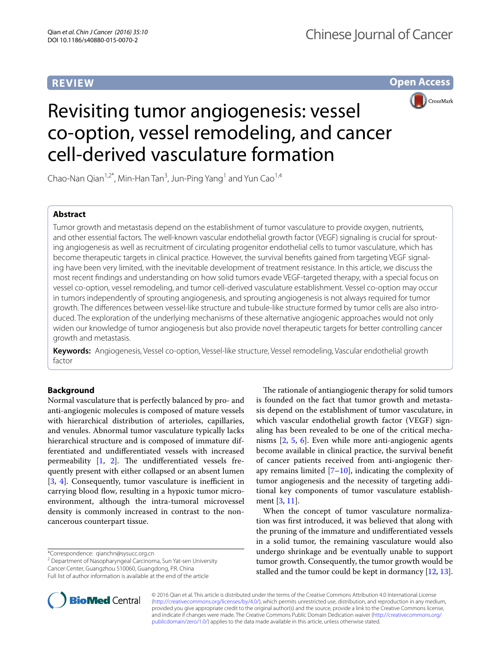# **REVIEW**

**Open Access**



# Revisiting tumor angiogenesis: vessel co-option, vessel remodeling, and cancer cell-derived vasculature formation

Chao-Nan Qian<sup>1,2\*</sup>, Min-Han Tan<sup>3</sup>, Jun-Ping Yang<sup>1</sup> and Yun Cao<sup>1,4</sup>

## **Abstract**

Tumor growth and metastasis depend on the establishment of tumor vasculature to provide oxygen, nutrients, and other essential factors. The well-known vascular endothelial growth factor (VEGF) signaling is crucial for sprouting angiogenesis as well as recruitment of circulating progenitor endothelial cells to tumor vasculature, which has become therapeutic targets in clinical practice. However, the survival benefits gained from targeting VEGF signaling have been very limited, with the inevitable development of treatment resistance. In this article, we discuss the most recent findings and understanding on how solid tumors evade VEGF-targeted therapy, with a special focus on vessel co-option, vessel remodeling, and tumor cell-derived vasculature establishment. Vessel co-option may occur in tumors independently of sprouting angiogenesis, and sprouting angiogenesis is not always required for tumor growth. The differences between vessel-like structure and tubule-like structure formed by tumor cells are also introduced. The exploration of the underlying mechanisms of these alternative angiogenic approaches would not only widen our knowledge of tumor angiogenesis but also provide novel therapeutic targets for better controlling cancer growth and metastasis.

**Keywords:** Angiogenesis, Vessel co-option, Vessel-like structure, Vessel remodeling, Vascular endothelial growth factor

## **Background**

Normal vasculature that is perfectly balanced by pro- and anti-angiogenic molecules is composed of mature vessels with hierarchical distribution of arterioles, capillaries, and venules. Abnormal tumor vasculature typically lacks hierarchical structure and is composed of immature differentiated and undifferentiated vessels with increased permeability [[1,](#page-3-0) [2](#page-3-1)]. The undifferentiated vessels frequently present with either collapsed or an absent lumen [[3,](#page-3-2) [4\]](#page-3-3). Consequently, tumor vasculature is inefficient in carrying blood flow, resulting in a hypoxic tumor microenvironment, although the intra-tumoral microvessel density is commonly increased in contrast to the noncancerous counterpart tissue.

\*Correspondence: qianchn@sysucc.org.cn

<sup>2</sup> Department of Nasopharyngeal Carcinoma, Sun Yat-sen University Cancer Center, Guangzhou 510060, Guangdong, P.R. China Full list of author information is available at the end of the article

The rationale of antiangiogenic therapy for solid tumors is founded on the fact that tumor growth and metastasis depend on the establishment of tumor vasculature, in which vascular endothelial growth factor (VEGF) signaling has been revealed to be one of the critical mechanisms [[2](#page-3-1), [5](#page-4-0), [6](#page-4-1)]. Even while more anti-angiogenic agents become available in clinical practice, the survival benefit of cancer patients received from anti-angiogenic therapy remains limited  $[7–10]$  $[7–10]$  $[7–10]$ , indicating the complexity of tumor angiogenesis and the necessity of targeting additional key components of tumor vasculature establishment [[3](#page-3-2), [11\]](#page-4-4).

When the concept of tumor vasculature normalization was first introduced, it was believed that along with the pruning of the immature and undifferentiated vessels in a solid tumor, the remaining vasculature would also undergo shrinkage and be eventually unable to support tumor growth. Consequently, the tumor growth would be stalled and the tumor could be kept in dormancy [[12,](#page-4-5) [13](#page-4-6)].



© 2016 Qian et al. This article is distributed under the terms of the Creative Commons Attribution 4.0 International License [\(http://creativecommons.org/licenses/by/4.0/\)](http://creativecommons.org/licenses/by/4.0/), which permits unrestricted use, distribution, and reproduction in any medium, provided you give appropriate credit to the original author(s) and the source, provide a link to the Creative Commons license, and indicate if changes were made. The Creative Commons Public Domain Dedication waiver ([http://creativecommons.org/](http://creativecommons.org/publicdomain/zero/1.0/) [publicdomain/zero/1.0/](http://creativecommons.org/publicdomain/zero/1.0/)) applies to the data made available in this article, unless otherwise stated.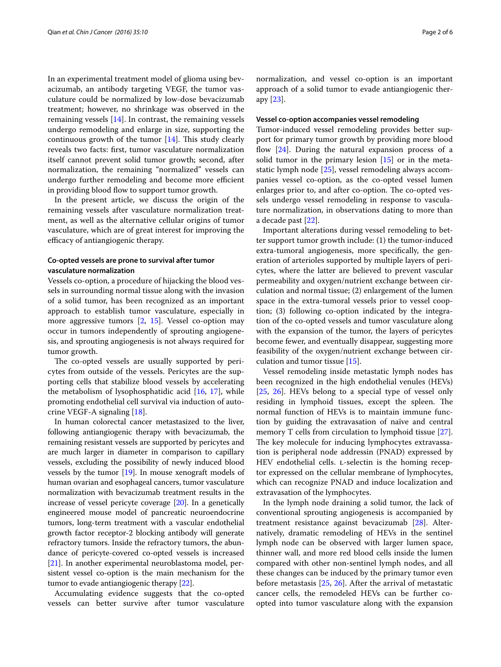In an experimental treatment model of glioma using bevacizumab, an antibody targeting VEGF, the tumor vasculature could be normalized by low-dose bevacizumab treatment; however, no shrinkage was observed in the remaining vessels [[14](#page-4-7)]. In contrast, the remaining vessels undergo remodeling and enlarge in size, supporting the continuous growth of the tumor  $[14]$  $[14]$ . This study clearly reveals two facts: first, tumor vasculature normalization itself cannot prevent solid tumor growth; second, after normalization, the remaining "normalized" vessels can undergo further remodeling and become more efficient in providing blood flow to support tumor growth.

In the present article, we discuss the origin of the remaining vessels after vasculature normalization treatment, as well as the alternative cellular origins of tumor vasculature, which are of great interest for improving the efficacy of antiangiogenic therapy.

### **Co‑opted vessels are prone to survival after tumor vasculature normalization**

Vessels co-option, a procedure of hijacking the blood vessels in surrounding normal tissue along with the invasion of a solid tumor, has been recognized as an important approach to establish tumor vasculature, especially in more aggressive tumors [[2,](#page-3-1) [15](#page-4-8)]. Vessel co-option may occur in tumors independently of sprouting angiogenesis, and sprouting angiogenesis is not always required for tumor growth.

The co-opted vessels are usually supported by pericytes from outside of the vessels. Pericytes are the supporting cells that stabilize blood vessels by accelerating the metabolism of lysophosphatidic acid [[16,](#page-4-9) [17](#page-4-10)], while promoting endothelial cell survival via induction of autocrine VEGF-A signaling [[18](#page-4-11)].

In human colorectal cancer metastasized to the liver, following antiangiogenic therapy with bevacizumab, the remaining resistant vessels are supported by pericytes and are much larger in diameter in comparison to capillary vessels, excluding the possibility of newly induced blood vessels by the tumor [\[19\]](#page-4-12). In mouse xenograft models of human ovarian and esophageal cancers, tumor vasculature normalization with bevacizumab treatment results in the increase of vessel pericyte coverage [\[20\]](#page-4-13). In a genetically engineered mouse model of pancreatic neuroendocrine tumors, long-term treatment with a vascular endothelial growth factor receptor-2 blocking antibody will generate refractory tumors. Inside the refractory tumors, the abundance of pericyte-covered co-opted vessels is increased [[21](#page-4-14)]. In another experimental neuroblastoma model, persistent vessel co-option is the main mechanism for the tumor to evade antiangiogenic therapy [\[22\]](#page-4-15).

Accumulating evidence suggests that the co-opted vessels can better survive after tumor vasculature

normalization, and vessel co-option is an important approach of a solid tumor to evade antiangiogenic therapy [\[23](#page-4-16)].

#### **Vessel co‑option accompanies vessel remodeling**

Tumor-induced vessel remodeling provides better support for primary tumor growth by providing more blood flow [[24](#page-4-17)]. During the natural expansion process of a solid tumor in the primary lesion  $[15]$  $[15]$  or in the metastatic lymph node [[25\]](#page-4-18), vessel remodeling always accompanies vessel co-option, as the co-opted vessel lumen enlarges prior to, and after co-option. The co-opted vessels undergo vessel remodeling in response to vasculature normalization, in observations dating to more than a decade past [[22\]](#page-4-15).

Important alterations during vessel remodeling to better support tumor growth include: (1) the tumor-induced extra-tumoral angiogenesis, more specifically, the generation of arterioles supported by multiple layers of pericytes, where the latter are believed to prevent vascular permeability and oxygen/nutrient exchange between circulation and normal tissue; (2) enlargement of the lumen space in the extra-tumoral vessels prior to vessel cooption; (3) following co-option indicated by the integration of the co-opted vessels and tumor vasculature along with the expansion of the tumor, the layers of pericytes become fewer, and eventually disappear, suggesting more feasibility of the oxygen/nutrient exchange between circulation and tumor tissue [[15](#page-4-8)].

Vessel remodeling inside metastatic lymph nodes has been recognized in the high endothelial venules (HEVs) [[25,](#page-4-18) [26](#page-4-19)]. HEVs belong to a special type of vessel only residing in lymphoid tissues, except the spleen. The normal function of HEVs is to maintain immune function by guiding the extravasation of naïve and central memory T cells from circulation to lymphoid tissue [\[27](#page-4-20)]. The key molecule for inducing lymphocytes extravassation is peripheral node addressin (PNAD) expressed by HEV endothelial cells. L-selectin is the homing receptor expressed on the cellular membrane of lymphocytes, which can recognize PNAD and induce localization and extravasation of the lymphocytes.

In the lymph node draining a solid tumor, the lack of conventional sprouting angiogenesis is accompanied by treatment resistance against bevacizumab [[28](#page-4-21)]. Alternatively, dramatic remodeling of HEVs in the sentinel lymph node can be observed with larger lumen space, thinner wall, and more red blood cells inside the lumen compared with other non-sentinel lymph nodes, and all these changes can be induced by the primary tumor even before metastasis [\[25](#page-4-18), [26](#page-4-19)]. After the arrival of metastatic cancer cells, the remodeled HEVs can be further coopted into tumor vasculature along with the expansion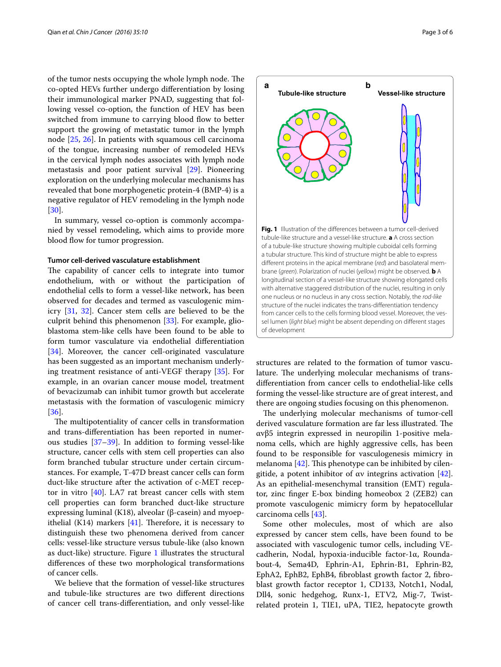of the tumor nests occupying the whole lymph node. The co-opted HEVs further undergo differentiation by losing their immunological marker PNAD, suggesting that following vessel co-option, the function of HEV has been switched from immune to carrying blood flow to better support the growing of metastatic tumor in the lymph node [\[25](#page-4-18), [26](#page-4-19)]. In patients with squamous cell carcinoma of the tongue, increasing number of remodeled HEVs in the cervical lymph nodes associates with lymph node metastasis and poor patient survival [\[29](#page-4-22)]. Pioneering exploration on the underlying molecular mechanisms has revealed that bone morphogenetic protein-4 (BMP-4) is a negative regulator of HEV remodeling in the lymph node [[30\]](#page-4-23).

In summary, vessel co-option is commonly accompanied by vessel remodeling, which aims to provide more blood flow for tumor progression.

#### **Tumor cell‑derived vasculature establishment**

The capability of cancer cells to integrate into tumor endothelium, with or without the participation of endothelial cells to form a vessel-like network, has been observed for decades and termed as vasculogenic mimicry [[31,](#page-4-24) [32](#page-4-25)]. Cancer stem cells are believed to be the culprit behind this phenomenon [\[33](#page-4-26)]. For example, glioblastoma stem-like cells have been found to be able to form tumor vasculature via endothelial differentiation [[34\]](#page-4-27). Moreover, the cancer cell-originated vasculature has been suggested as an important mechanism underlying treatment resistance of anti-VEGF therapy [[35\]](#page-4-28). For example, in an ovarian cancer mouse model, treatment of bevacizumab can inhibit tumor growth but accelerate metastasis with the formation of vasculogenic mimicry [[36\]](#page-4-29).

The multipotentiality of cancer cells in transformation and trans-differentiation has been reported in numerous studies [[37](#page-4-30)[–39](#page-4-31)]. In addition to forming vessel-like structure, cancer cells with stem cell properties can also form branched tubular structure under certain circumstances. For example, T-47D breast cancer cells can form duct-like structure after the activation of c-MET receptor in vitro  $[40]$  $[40]$ . LA7 rat breast cancer cells with stem cell properties can form branched duct-like structure expressing luminal (K18), alveolar (β-casein) and myoepithelial  $(K14)$  markers [[41\]](#page-4-33). Therefore, it is necessary to distinguish these two phenomena derived from cancer cells: vessel-like structure versus tubule-like (also known as duct-like) structure. Figure [1](#page-2-0) illustrates the structural differences of these two morphological transformations of cancer cells.

We believe that the formation of vessel-like structures and tubule-like structures are two different directions of cancer cell trans-differentiation, and only vessel-like



<span id="page-2-0"></span>structures are related to the formation of tumor vasculature. The underlying molecular mechanisms of transdifferentiation from cancer cells to endothelial-like cells forming the vessel-like structure are of great interest, and there are ongoing studies focusing on this phenomenon.

The underlying molecular mechanisms of tumor-cell derived vasculature formation are far less illustrated. The αvβ5 integrin expressed in neuropilin 1-positive melanoma cells, which are highly aggressive cells, has been found to be responsible for vasculogenesis mimicry in melanoma [\[42\]](#page-4-34). This phenotype can be inhibited by cilengitide, a potent inhibitor of αν integrins activation [\[42](#page-4-34)]. As an epithelial-mesenchymal transition (EMT) regulator, zinc finger E-box binding homeobox 2 (ZEB2) can promote vasculogenic mimicry form by hepatocellular carcinoma cells [\[43](#page-4-35)].

Some other molecules, most of which are also expressed by cancer stem cells, have been found to be associated with vasculogenic tumor cells, including VEcadherin, Nodal, hypoxia-inducible factor-1α, Roundabout-4, Sema4D, Ephrin-A1, Ephrin-B1, Ephrin-B2, EphA2, EphB2, EphB4, fibroblast growth factor 2, fibroblast growth factor receptor 1, CD133, Notch1, Nodal, Dll4, sonic hedgehog, Runx-1, ETV2, Mig-7, Twistrelated protein 1, TIE1, uPA, TIE2, hepatocyte growth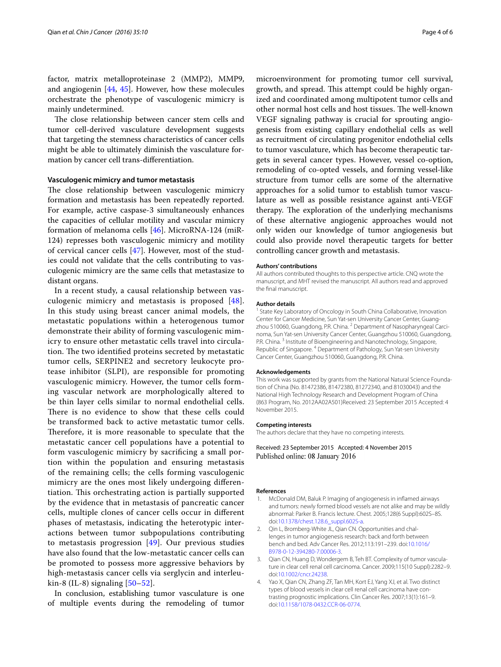factor, matrix metalloproteinase 2 (MMP2), MMP9, and angiogenin [\[44](#page-4-36), [45\]](#page-4-37). However, how these molecules orchestrate the phenotype of vasculogenic mimicry is mainly undetermined.

The close relationship between cancer stem cells and tumor cell-derived vasculature development suggests that targeting the stemness characteristics of cancer cells might be able to ultimately diminish the vasculature formation by cancer cell trans-differentiation.

#### **Vasculogenic mimicry and tumor metastasis**

The close relationship between vasculogenic mimicry formation and metastasis has been repeatedly reported. For example, active caspase-3 simultaneously enhances the capacities of cellular motility and vascular mimicry formation of melanoma cells [[46\]](#page-4-38). MicroRNA-124 (miR-124) represses both vasculogenic mimicry and motility of cervical cancer cells [[47](#page-4-39)]. However, most of the studies could not validate that the cells contributing to vasculogenic mimicry are the same cells that metastasize to distant organs.

In a recent study, a causal relationship between vasculogenic mimicry and metastasis is proposed [[48\]](#page-5-0). In this study using breast cancer animal models, the metastatic populations within a heterogenous tumor demonstrate their ability of forming vasculogenic mimicry to ensure other metastatic cells travel into circulation. The two identified proteins secreted by metastatic tumor cells, SERPINE2 and secretory leukocyte protease inhibitor (SLPI), are responsible for promoting vasculogenic mimicry. However, the tumor cells forming vascular network are morphologically altered to be thin layer cells similar to normal endothelial cells. There is no evidence to show that these cells could be transformed back to active metastatic tumor cells. Therefore, it is more reasonable to speculate that the metastatic cancer cell populations have a potential to form vasculogenic mimicry by sacrificing a small portion within the population and ensuring metastasis of the remaining cells; the cells forming vasculogenic mimicry are the ones most likely undergoing differentiation. This orchestrating action is partially supported by the evidence that in metastasis of pancreatic cancer cells, multiple clones of cancer cells occur in different phases of metastasis, indicating the heterotypic interactions between tumor subpopulations contributing to metastasis progression [[49](#page-5-1)]. Our previous studies have also found that the low-metastatic cancer cells can be promoted to possess more aggressive behaviors by high-metastasis cancer cells via serglycin and interleukin-8 (IL-8) signaling  $[50-52]$  $[50-52]$ .

In conclusion, establishing tumor vasculature is one of multiple events during the remodeling of tumor

microenvironment for promoting tumor cell survival, growth, and spread. This attempt could be highly organized and coordinated among multipotent tumor cells and other normal host cells and host tissues. The well-known VEGF signaling pathway is crucial for sprouting angiogenesis from existing capillary endothelial cells as well as recruitment of circulating progenitor endothelial cells to tumor vasculature, which has become therapeutic targets in several cancer types. However, vessel co-option, remodeling of co-opted vessels, and forming vessel-like structure from tumor cells are some of the alternative approaches for a solid tumor to establish tumor vasculature as well as possible resistance against anti-VEGF therapy. The exploration of the underlying mechanisms of these alternative angiogenic approaches would not only widen our knowledge of tumor angiogenesis but could also provide novel therapeutic targets for better controlling cancer growth and metastasis.

#### **Authors' contributions**

All authors contributed thoughts to this perspective article. CNQ wrote the manuscript, and MHT revised the manuscript. All authors read and approved the final manuscript.

#### **Author details**

<sup>1</sup> State Key Laboratory of Oncology in South China Collaborative, Innovation Center for Cancer Medicine, Sun Yat-sen University Cancer Center, Guangzhou 510060, Guangdong, P.R. China. <sup>2</sup> Department of Nasopharyngeal Carcinoma, Sun Yat-sen University Cancer Center, Guangzhou 510060, Guangdong, P.R. China.<sup>3</sup> Institute of Bioengineering and Nanotechnology, Singapore, Republic of Singapore. <sup>4</sup> Department of Pathology, Sun Yat-sen University Cancer Center, Guangzhou 510060, Guangdong, P.R. China.

#### **Acknowledgements**

This work was supported by grants from the National Natural Science Foundation of China (No. 81472386, 81472380, 81272340, and 81030043) and the National High Technology Research and Development Program of China (863 Program, No. 2012AA02A501)Received: 23 September 2015 Accepted: 4 November 2015.

#### **Competing interests**

The authors declare that they have no competing interests.

Received: 23 September 2015 Accepted: 4 November 2015 Published online: 08 January 2016

#### **References**

- <span id="page-3-0"></span>1. McDonald DM, Baluk P. Imaging of angiogenesis in inflamed airways and tumors: newly formed blood vessels are not alike and may be wildly abnormal: Parker B. Francis lecture. Chest. 2005;128(6 Suppl):602S–8S. doi:[10.1378/chest.128.6\\_suppl.602S-a.](http://dx.doi.org/10.1378/chest.128.6_suppl.602S-a)
- <span id="page-3-1"></span>2. Qin L, Bromberg-White JL, Qian CN. Opportunities and challenges in tumor angiogenesis research: back and forth between bench and bed. Adv Cancer Res. 2012;113:191–239. doi[:10.1016/](http://dx.doi.org/10.1016/B978-0-12-394280-7.00006-3) [B978-0-12-394280-7.00006-3.](http://dx.doi.org/10.1016/B978-0-12-394280-7.00006-3)
- <span id="page-3-2"></span>3. Qian CN, Huang D, Wondergem B, Teh BT. Complexity of tumor vasculature in clear cell renal cell carcinoma. Cancer. 2009;115(10 Suppl):2282–9. doi:[10.1002/cncr.24238.](http://dx.doi.org/10.1002/cncr.24238)
- <span id="page-3-3"></span>4. Yao X, Qian CN, Zhang ZF, Tan MH, Kort EJ, Yang XJ, et al. Two distinct types of blood vessels in clear cell renal cell carcinoma have con‑ trasting prognostic implications. Clin Cancer Res. 2007;13(1):161–9. doi:[10.1158/1078-0432.CCR-06-0774](http://dx.doi.org/10.1158/1078-0432.CCR-06-0774).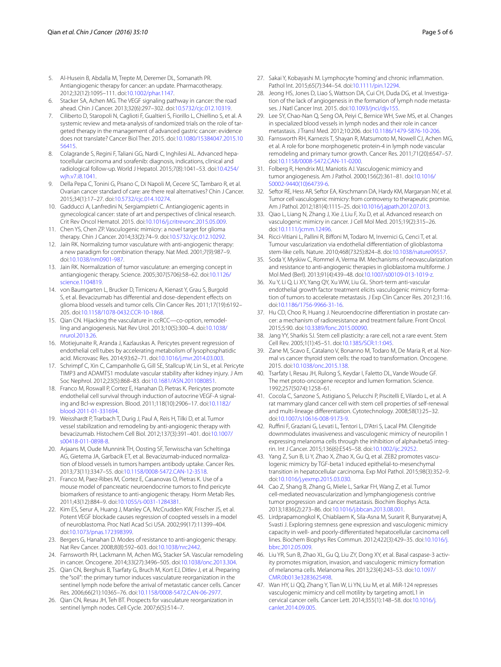- <span id="page-4-0"></span>5. Al-Husein B, Abdalla M, Trepte M, Deremer DL, Somanath PR. Antiangiogenic therapy for cancer: an update. Pharmacotherapy. 2012;32(12):1095–111. doi:[10.1002/phar.1147](http://dx.doi.org/10.1002/phar.1147).
- <span id="page-4-1"></span>6. Stacker SA, Achen MG. The VEGF signaling pathway in cancer: the road ahead. Chin J Cancer. 2013;32(6):297–302. doi[:10.5732/cjc.012.10319](http://dx.doi.org/10.5732/cjc.012.10319).
- <span id="page-4-2"></span>7. Ciliberto D, Staropoli N, Caglioti F, Gualtieri S, Fiorillo L, Chiellino S, et al. A systemic review and meta-analysis of randomized trials on the role of targeted therapy in the management of advanced gastric cancer: evidence does not translate? Cancer Biol Ther. 2015. doi[:10.1080/15384047.2015.10](http://dx.doi.org/10.1080/15384047.2015.1056415) [56415.](http://dx.doi.org/10.1080/15384047.2015.1056415)
- 8. Colagrande S, Regini F, Taliani GG, Nardi C, Inghilesi AL. Advanced hepatocellular carcinoma and sorafenib: diagnosis, indications, clinical and radiological follow-up. World J Hepatol. 2015;7(8):1041–53. doi:[10.4254/](http://dx.doi.org/10.4254/wjh.v7.i8.1041) [wjh.v7.i8.1041.](http://dx.doi.org/10.4254/wjh.v7.i8.1041)
- Della Pepa C, Tonini G, Pisano C, Di Napoli M, Cecere SC, Tambaro R, et al. Ovarian cancer standard of care: are there real alternatives? Chin J Cancer. 2015;34(1):17–27. doi[:10.5732/cjc.014.10274](http://dx.doi.org/10.5732/cjc.014.10274).
- <span id="page-4-3"></span>10. Gadducci A, Lanfredini N, Sergiampietri C. Antiangiogenic agents in gynecological cancer: state of art and perspectives of clinical research. Crit Rev Oncol Hematol. 2015. doi[:10.1016/j.critrevonc.2015.05.009.](http://dx.doi.org/10.1016/j.critrevonc.2015.05.009)
- <span id="page-4-4"></span>11. Chen YS, Chen ZP, Vasculogenic mimicry: a novel target for glioma therapy. Chin J Cancer. 2014;33(2):74–9. doi[:10.5732/cjc.012.10292](http://dx.doi.org/10.5732/cjc.012.10292).
- <span id="page-4-5"></span>12. Jain RK. Normalizing tumor vasculature with anti-angiogenic therapy: a new paradigm for combination therapy. Nat Med. 2001;7(9):987–9. doi:[10.1038/nm0901-987.](http://dx.doi.org/10.1038/nm0901-987)
- <span id="page-4-6"></span>13. Jain RK. Normalization of tumor vasculature: an emerging concept in antiangiogenic therapy. Science. 2005;307(5706):58–62. doi[:10.1126/](http://dx.doi.org/10.1126/science.1104819) [science.1104819.](http://dx.doi.org/10.1126/science.1104819)
- <span id="page-4-7"></span>14. von Baumgarten L, Brucker D, Tirniceru A, Kienast Y, Grau S, Burgold S, et al. Bevacizumab has differential and dose-dependent effects on glioma blood vessels and tumor cells. Clin Cancer Res. 2011;17(19):6192– 205. doi:[10.1158/1078-0432.CCR-10-1868.](http://dx.doi.org/10.1158/1078-0432.CCR-10-1868)
- <span id="page-4-8"></span>15. Qian CN. Hijacking the vasculature in ccRCC-co-option, remodelling and angiogenesis. Nat Rev Urol. 2013;10(5):300–4. doi:[10.1038/](http://dx.doi.org/10.1038/nrurol.2013.26) [nrurol.2013.26](http://dx.doi.org/10.1038/nrurol.2013.26).
- <span id="page-4-9"></span>16. Motiejunaite R, Aranda J, Kazlauskas A. Pericytes prevent regression of endothelial cell tubes by accelerating metabolism of lysophosphatidic acid. Microvasc Res. 2014;93:62–71. doi[:10.1016/j.mvr.2014.03.003](http://dx.doi.org/10.1016/j.mvr.2014.03.003).
- <span id="page-4-10"></span>17. Schrimpf C, Xin C, Campanholle G, Gill SE, Stallcup W, Lin SL, et al. Pericyte TIMP3 and ADAMTS1 modulate vascular stability after kidney injury. J Am Soc Nephrol. 2012;23(5):868–83. doi[:10.1681/ASN.2011080851.](http://dx.doi.org/10.1681/ASN.2011080851)
- <span id="page-4-11"></span>18. Franco M, Roswall P, Cortez E, Hanahan D, Pietras K. Pericytes promote endothelial cell survival through induction of autocrine VEGF-A signaling and Bcl-w expression. Blood. 2011;118(10):2906–17. doi[:10.1182/](http://dx.doi.org/10.1182/blood-2011-01-331694) [blood-2011-01-331694](http://dx.doi.org/10.1182/blood-2011-01-331694).
- <span id="page-4-12"></span>19. Weisshardt P, Trarbach T, Durig J, Paul A, Reis H, Tilki D, et al. Tumor vessel stabilization and remodeling by anti-angiogenic therapy with bevacizumab. Histochem Cell Biol. 2012;137(3):391–401. doi:[10.1007/](http://dx.doi.org/10.1007/s00418-011-0898-8) [s00418-011-0898-8.](http://dx.doi.org/10.1007/s00418-011-0898-8)
- <span id="page-4-13"></span>20. Arjaans M, Oude Munnink TH, Oosting SF, Terwisscha van Scheltinga AG, Gietema JA, Garbacik ET, et al. Bevacizumab-induced normalization of blood vessels in tumors hampers antibody uptake. Cancer Res. 2013;73(11):3347–55. doi[:10.1158/0008-5472.CAN-12-3518.](http://dx.doi.org/10.1158/0008-5472.CAN-12-3518)
- <span id="page-4-14"></span>21. Franco M, Paez-Ribes M, Cortez E, Casanovas O, Pietras K. Use of a mouse model of pancreatic neuroendocrine tumors to find pericyte biomarkers of resistance to anti-angiogenic therapy. Horm Metab Res. 2011;43(12):884–9. doi:[10.1055/s-0031-1284381](http://dx.doi.org/10.1055/s-0031-1284381).
- <span id="page-4-15"></span>22. Kim ES, Serur A, Huang J, Manley CA, McCrudden KW, Frischer JS, et al. Potent VEGF blockade causes regression of coopted vessels in a model of neuroblastoma. Proc Natl Acad Sci USA. 2002;99(17):11399–404. doi:[10.1073/pnas.172398399](http://dx.doi.org/10.1073/pnas.172398399).
- <span id="page-4-16"></span>23. Bergers G, Hanahan D. Modes of resistance to anti-angiogenic therapy. Nat Rev Cancer. 2008;8(8):592–603. doi:[10.1038/nrc2442](http://dx.doi.org/10.1038/nrc2442).
- <span id="page-4-17"></span>24. Farnsworth RH, Lackmann M, Achen MG, Stacker SA. Vascular remodeling in cancer. Oncogene. 2014;33(27):3496–505. doi[:10.1038/onc.2013.304.](http://dx.doi.org/10.1038/onc.2013.304)
- <span id="page-4-18"></span>25. Qian CN, Berghuis B, Tsarfaty G, Bruch M, Kort EJ, Ditlev J, et al. Preparing the "soil": the primary tumor induces vasculature reorganization in the sentinel lymph node before the arrival of metastatic cancer cells. Cancer Res. 2006;66(21):10365–76. doi:[10.1158/0008-5472.CAN-06-2977.](http://dx.doi.org/10.1158/0008-5472.CAN-06-2977)
- <span id="page-4-19"></span>26. Qian CN, Resau JH, Teh BT. Prospects for vasculature reorganization in sentinel lymph nodes. Cell Cycle. 2007;6(5):514–7.
- <span id="page-4-20"></span>27. Sakai Y, Kobayashi M. Lymphocyte 'homing' and chronic inflammation. Pathol Int. 2015;65(7):344–54. doi[:10.1111/pin.12294.](http://dx.doi.org/10.1111/pin.12294)
- <span id="page-4-21"></span>28. Jeong HS, Jones D, Liao S, Wattson DA, Cui CH, Duda DG, et al. Investigation of the lack of angiogenesis in the formation of lymph node metastases. J Natl Cancer Inst. 2015. doi:[10.1093/jnci/djv155.](http://dx.doi.org/10.1093/jnci/djv155)
- <span id="page-4-22"></span>29. Lee SY, Chao-Nan Q, Seng OA, Peiyi C, Bernice WH, Swe MS, et al. Changes in specialized blood vessels in lymph nodes and their role in cancer metastasis. J Transl Med. 2012;10:206. doi[:10.1186/1479-5876-10-206.](http://dx.doi.org/10.1186/1479-5876-10-206)
- <span id="page-4-23"></span>30. Farnsworth RH, Karnezis T, Shayan R, Matsumoto M, Nowell CJ, Achen MG, et al. A role for bone morphogenetic protein-4 in lymph node vascular remodeling and primary tumor growth. Cancer Res. 2011;71(20):6547–57. doi:[10.1158/0008-5472.CAN-11-0200](http://dx.doi.org/10.1158/0008-5472.CAN-11-0200).
- <span id="page-4-24"></span>31. Folberg R, Hendrix MJ, Maniotis AJ. Vasculogenic mimicry and tumor angiogenesis. Am J Pathol. 2000;156(2):361–81. doi[:10.1016/](http://dx.doi.org/10.1016/S0002-9440(10)64739-6) [S0002-9440\(10\)64739-6](http://dx.doi.org/10.1016/S0002-9440(10)64739-6).
- <span id="page-4-25"></span>32. Seftor RE, Hess AR, Seftor EA, Kirschmann DA, Hardy KM, Margaryan NV, et al. Tumor cell vasculogenic mimicry: from controversy to therapeutic promise. Am J Pathol. 2012;181(4):1115–25. doi[:10.1016/j.ajpath.2012.07.013](http://dx.doi.org/10.1016/j.ajpath.2012.07.013).
- <span id="page-4-26"></span>33. Qiao L, Liang N, Zhang J, Xie J, Liu F, Xu D, et al. Advanced research on vasculogenic mimicry in cancer. J Cell Mol Med. 2015;19(2):315–26. doi:[10.1111/jcmm.12496](http://dx.doi.org/10.1111/jcmm.12496).
- <span id="page-4-27"></span>34. Ricci-Vitiani L, Pallini R, Biffoni M, Todaro M, Invernici G, Cenci T, et al. Tumour vascularization via endothelial differentiation of glioblastoma stem-like cells. Nature. 2010;468(7325):824–8. doi:[10.1038/nature09557](http://dx.doi.org/10.1038/nature09557).
- <span id="page-4-28"></span>35. Soda Y, Myskiw C, Rommel A, Verma IM. Mechanisms of neovascularization and resistance to anti-angiogenic therapies in glioblastoma multiforme. J Mol Med (Berl). 2013;91(4):439–48. doi[:10.1007/s00109-013-1019-z](http://dx.doi.org/10.1007/s00109-013-1019-z).
- <span id="page-4-29"></span>36. Xu Y, Li Q, Li XY, Yang QY, Xu WW, Liu GL. Short-term anti-vascular endothelial growth factor treatment elicits vasculogenic mimicry formation of tumors to accelerate metastasis. J Exp Clin Cancer Res. 2012;31:16. doi:[10.1186/1756-9966-31-16](http://dx.doi.org/10.1186/1756-9966-31-16).
- <span id="page-4-30"></span>37. Hu CD, Choo R, Huang J. Neuroendocrine differentiation in prostate cancer: a mechanism of radioresistance and treatment failure. Front Oncol. 2015;5:90. doi:[10.3389/fonc.2015.00090](http://dx.doi.org/10.3389/fonc.2015.00090).
- 38. Jang YY, Sharkis SJ. Stem cell plasticity: a rare cell, not a rare event. Stem Cell Rev. 2005;1(1):45–51. doi:[10.1385/SCR:1:1:045](http://dx.doi.org/10.1385/SCR:1:1:045).
- <span id="page-4-31"></span>39. Zane M, Scavo E, Catalano V, Bonanno M, Todaro M, De Maria R, et al. Normal vs cancer thyroid stem cells: the road to transformation. Oncogene. 2015. doi[:10.1038/onc.2015.138.](http://dx.doi.org/10.1038/onc.2015.138)
- <span id="page-4-32"></span>40. Tsarfaty I, Resau JH, Rulong S, Keydar I, Faletto DL, Vande Woude GF. The met proto-oncogene receptor and lumen formation. Science. 1992;257(5074):1258–61.
- <span id="page-4-33"></span>41. Cocola C, Sanzone S, Astigiano S, Pelucchi P, Piscitelli E, Vilardo L, et al. A rat mammary gland cancer cell with stem cell properties of self-renewal and multi-lineage differentiation. Cytotechnology. 2008;58(1):25–32. doi:[10.1007/s10616-008-9173-9.](http://dx.doi.org/10.1007/s10616-008-9173-9)
- <span id="page-4-34"></span>42. Ruffini F, Graziani G, Levati L, Tentori L, D'Atri S, Lacal PM. Cilengitide downmodulates invasiveness and vasculogenic mimicry of neuropilin 1 expressing melanoma cells through the inhibition of alphavbeta5 integrin. Int J Cancer. 2015;136(6):E545–58. doi[:10.1002/ijc.29252](http://dx.doi.org/10.1002/ijc.29252).
- <span id="page-4-35"></span>43. Yang Z, Sun B, Li Y, Zhao X, Zhao X, Gu Q, et al. ZEB2 promotes vasculogenic mimicry by TGF-beta1 induced epithelial-to-mesenchymal transition in hepatocellular carcinoma. Exp Mol Pathol. 2015;98(3):352–9. doi:[10.1016/j.yexmp.2015.03.030](http://dx.doi.org/10.1016/j.yexmp.2015.03.030).
- <span id="page-4-36"></span>44. Cao Z, Shang B, Zhang G, Miele L, Sarkar FH, Wang Z, et al. Tumor cell-mediated neovascularization and lymphangiogenesis contrive tumor progression and cancer metastasis. Biochim Biophys Acta. 2013;1836(2):273–86. doi[:10.1016/j.bbcan.2013.08.001.](http://dx.doi.org/10.1016/j.bbcan.2013.08.001)
- <span id="page-4-37"></span>45. Lirdprapamongkol K, Chiablaem K, Sila-Asna M, Surarit R, Bunyaratvej A, Svasti J. Exploring stemness gene expression and vasculogenic mimicry capacity in well- and poorly-differentiated hepatocellular carcinoma cell lines. Biochem Biophys Res Commun. 2012;422(3):429–35. doi:[10.1016/j.](http://dx.doi.org/10.1016/j.bbrc.2012.05.009) [bbrc.2012.05.009](http://dx.doi.org/10.1016/j.bbrc.2012.05.009).
- <span id="page-4-38"></span>46. Liu YR, Sun B, Zhao XL, Gu Q, Liu ZY, Dong XY, et al. Basal caspase-3 activity promotes migration, invasion, and vasculogenic mimicry formation of melanoma cells. Melanoma Res. 2013;23(4):243–53. doi[:10.1097/](http://dx.doi.org/10.1097/CMR.0b013e3283625498) [CMR.0b013e3283625498.](http://dx.doi.org/10.1097/CMR.0b013e3283625498)
- <span id="page-4-39"></span>47. Wan HY, Li QQ, Zhang Y, Tian W, Li YN, Liu M, et al. MiR-124 represses vasculogenic mimicry and cell motility by targeting amotL1 in cervical cancer cells. Cancer Lett. 2014;355(1):148–58. doi[:10.1016/j.](http://dx.doi.org/10.1016/j.canlet.2014.09.005) [canlet.2014.09.005.](http://dx.doi.org/10.1016/j.canlet.2014.09.005)